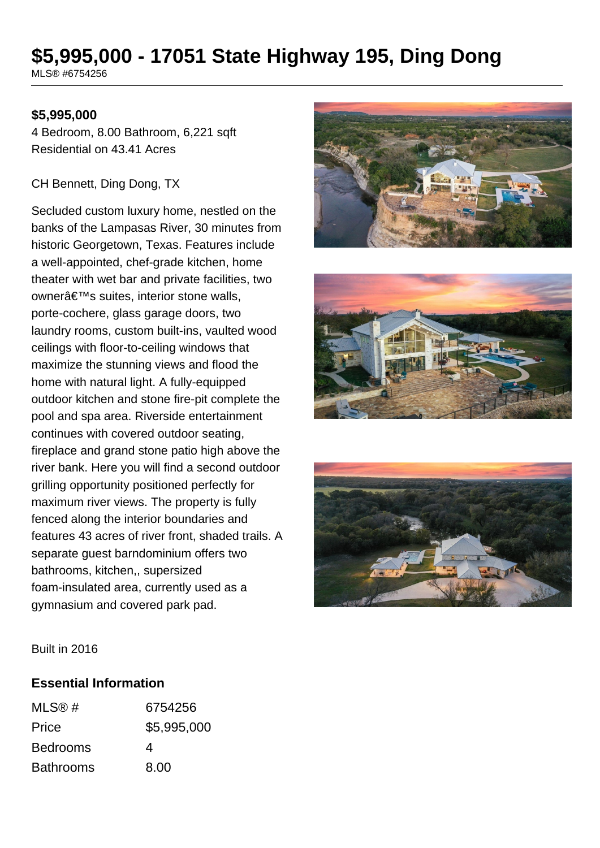# **\$5,995,000 - 17051 State Highway 195, Ding Dong**

MLS® #6754256

#### **\$5,995,000**

4 Bedroom, 8.00 Bathroom, 6,221 sqft Residential on 43.41 Acres

#### CH Bennett, Ding Dong, TX

Secluded custom luxury home, nestled on the banks of the Lampasas River, 30 minutes from historic Georgetown, Texas. Features include a well-appointed, chef-grade kitchen, home theater with wet bar and private facilities, two owner's suites, interior stone walls, porte-cochere, glass garage doors, two laundry rooms, custom built-ins, vaulted wood ceilings with floor-to-ceiling windows that maximize the stunning views and flood the home with natural light. A fully-equipped outdoor kitchen and stone fire-pit complete the pool and spa area. Riverside entertainment continues with covered outdoor seating, fireplace and grand stone patio high above the river bank. Here you will find a second outdoor grilling opportunity positioned perfectly for maximum river views. The property is fully fenced along the interior boundaries and features 43 acres of river front, shaded trails. A separate guest barndominium offers two bathrooms, kitchen,, supersized foam-insulated area, currently used as a gymnasium and covered park pad.







Built in 2016

#### **Essential Information**

| MLS@#            | 6754256     |
|------------------|-------------|
| Price            | \$5,995,000 |
| <b>Bedrooms</b>  | 4           |
| <b>Bathrooms</b> | 8.00        |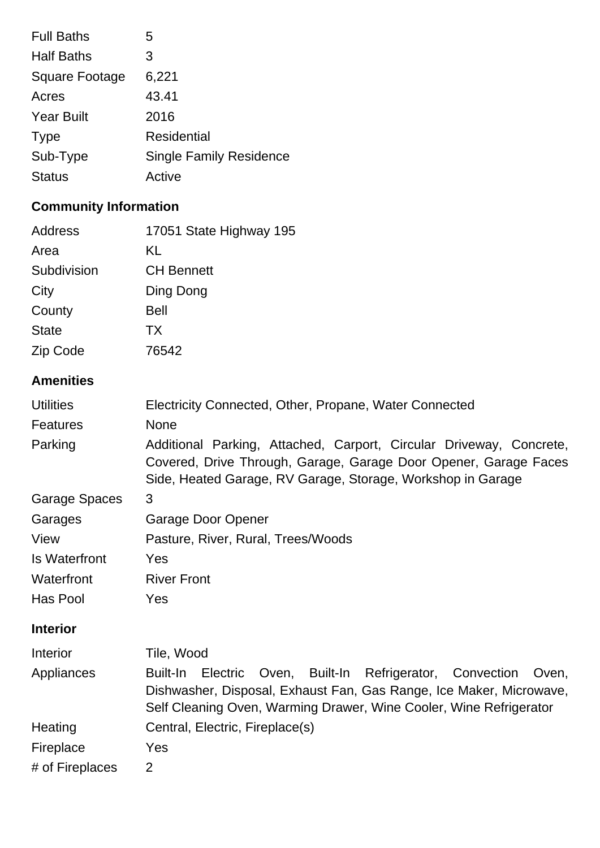| <b>Full Baths</b>     | 5                              |
|-----------------------|--------------------------------|
| <b>Half Baths</b>     | 3                              |
| <b>Square Footage</b> | 6,221                          |
| Acres                 | 43.41                          |
| <b>Year Built</b>     | 2016                           |
| <b>Type</b>           | <b>Residential</b>             |
| Sub-Type              | <b>Single Family Residence</b> |
| <b>Status</b>         | Active                         |
|                       |                                |

# **Community Information**

| Address              | 17051 State Highway 195                                                                                                                                                                                                   |  |  |
|----------------------|---------------------------------------------------------------------------------------------------------------------------------------------------------------------------------------------------------------------------|--|--|
| Area                 | KL                                                                                                                                                                                                                        |  |  |
| Subdivision          | <b>CH Bennett</b>                                                                                                                                                                                                         |  |  |
| City                 | Ding Dong                                                                                                                                                                                                                 |  |  |
| County               | <b>Bell</b>                                                                                                                                                                                                               |  |  |
| <b>State</b>         | <b>TX</b>                                                                                                                                                                                                                 |  |  |
| Zip Code             | 76542                                                                                                                                                                                                                     |  |  |
| <b>Amenities</b>     |                                                                                                                                                                                                                           |  |  |
| <b>Utilities</b>     | Electricity Connected, Other, Propane, Water Connected                                                                                                                                                                    |  |  |
| <b>Features</b>      | <b>None</b>                                                                                                                                                                                                               |  |  |
| Parking              | Additional Parking, Attached, Carport, Circular Driveway, Concrete,<br>Covered, Drive Through, Garage, Garage Door Opener, Garage Faces<br>Side, Heated Garage, RV Garage, Storage, Workshop in Garage                    |  |  |
| <b>Garage Spaces</b> | 3                                                                                                                                                                                                                         |  |  |
| Garages              | <b>Garage Door Opener</b>                                                                                                                                                                                                 |  |  |
| View                 | Pasture, River, Rural, Trees/Woods                                                                                                                                                                                        |  |  |
| <b>Is Waterfront</b> | Yes                                                                                                                                                                                                                       |  |  |
| Waterfront           | <b>River Front</b>                                                                                                                                                                                                        |  |  |
| Has Pool             | Yes                                                                                                                                                                                                                       |  |  |
| <b>Interior</b>      |                                                                                                                                                                                                                           |  |  |
| Interior             | Tile, Wood                                                                                                                                                                                                                |  |  |
| Appliances           | Electric<br>Oven, Built-In Refrigerator, Convection Oven,<br><b>Built-In</b><br>Dishwasher, Disposal, Exhaust Fan, Gas Range, Ice Maker, Microwave,<br>Self Cleaning Oven, Warming Drawer, Wine Cooler, Wine Refrigerator |  |  |
| Heating              | Central, Electric, Fireplace(s)                                                                                                                                                                                           |  |  |
| Fireplace            | Yes                                                                                                                                                                                                                       |  |  |
| # of Fireplaces      | $\overline{2}$                                                                                                                                                                                                            |  |  |